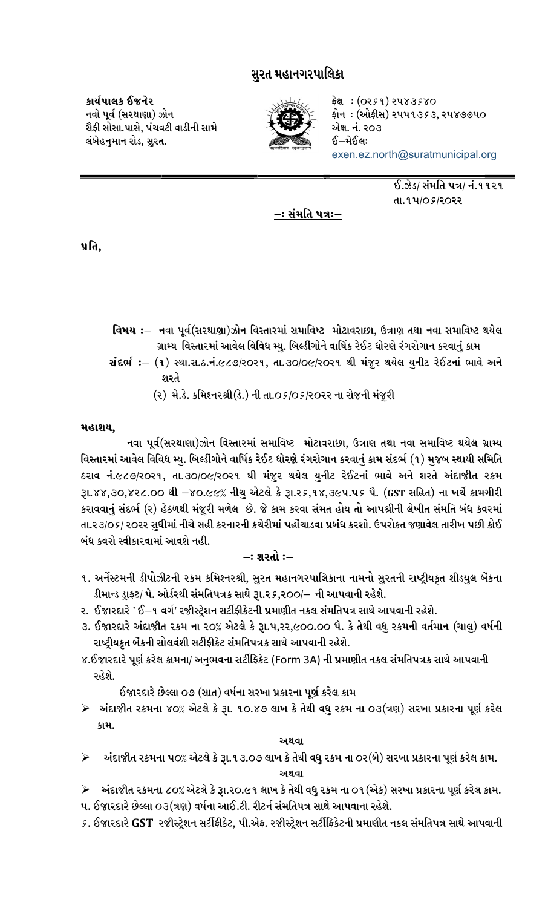# સુરત મહાનગરપાલિકા

કાર્યપાલક ઈજનેર નવો પૂર્વ (સરથાણા) ઝોન સૈફી સોસા.પાસે, પંચવટી વાડીની સામે લંબેહનુમાન રોડ, સુરત.



ફેક્ષ**: (૦૨**૬૧) ૨૫૪૩૬૪૦ ફોન : (ઓફીસ) રપપ૧૩૬૩, રપ૪૭૭૫૦ એક્ષ. નં. ૨૦૩ ઈ–મેઈલઃ exen.ez.north@suratmunicipal.org

> ઈ.ઝેડ/ સંમતિ પત્ર/ નં.૧૧૨૧ તા.૧૫/૦૬/૨૦૨૨

−ઃ સંમતિ પત્રઃ–

પ્રતિ.

- **વિષય :** નવા પૂર્વ(સરથાણા)ઝોન વિસ્તારમાં સમાવિષ્ટ મોટાવરાછા, ઉત્રાણ તથા નવા સમાવિષ્ટ થયેલ ગ્રામ્ય વિસ્તારમાં આવેલ વિવિધ મ્યુ. બિલ્ડીંગોને વાર્ષિક રેઈટ ધોરણે રંગરોગાન કરવાનું કામ
- સંદર્ભઃ (૧) સ્થા.સ.ઠ.નં.૯૮૭/૨૦૨૧, તા.૩૦/૦૯/૨૦૨૧ થી મંજૂર થયેલ યુનીટ રેઈટનાં ભાવે અને શરતે
	- (૨) મે.ડે. કમિશ્નરશ્રી (ડે.) ની તા.OS/OS/૨O૨૨ ના રોજની મંજુરી

#### મહાશય.

નવા પૂર્વ(સરથાણા)ઝોન વિસ્તારમાં સમાવિષ્ટ મોટાવરાછા, ઉત્રાણ તથા નવા સમાવિષ્ટ થયેલ ગ્રામ્ય વિસ્તારમાં આવેલ વિવિધ મ્ય. બિલ્ડીંગોને વાર્ષિક રેઈટ ધોરણે રંગરોગાન કરવાનં કામ સંદર્ભ (૧) મજબ સ્થાયી સમિતિ ઠરાવ નં.૯૮૭/ર૦ર૧, તા.૩૦/૦૯/ર૦ર૧ થી મંજૂર થયેલ યુનીટ રેઈટનાં ભાવે અને શરતે અંદાજીત રકમ રૂા.૪૪,૩૦,૪૨૮.૦૦ થી –૪૦.૯૯% નીચ એટલે કે રૂા.૨*૬*,૧૪,૩૯૫.૫*૬* પૈ. (GST સહિત) ના ખર્ચે કામગીરી કરાવવાનું સંદર્ભ (૨) હેઠળથી મંજૂરી મળેલ છે. જે કામ કરવા સંમત હોય તો આપશ્રીની લેખીત સંમતિ બંધ કવરમાં તા.૨૩/૦*૬|* ૨૦૨૨ સુધીમાં નીચે સહી કરનારની કચેરીમાં પહોંચાડવા પ્રબંધ કરશો. ઉપરોકત જણાવેલ તારીખ પછી કોઈ બંધ કવરો સ્વીકારવામાં આવશે નહી.

## —: શરતો :—

- ૧. અર્નેસ્ટમની ડીપોઝીટની રકમ કમિશ્નરશ્રી, સુરત મહાનગરપાલિકાના નામનો સુરતની રાષ્ટ્રીયકૃત શીડયુલ બેંકના ડીમાન્ડ ડ્રાફ્ટ/ પે. ઓર્ડરથી સંમતિપત્રક સાથે રૂા.૨*૬*,૨૦૦/– ની આપવાની રહેશે.
- ર. ઈજારદારે ' ઈ $-$ ૧ વર્ગ' રજીસ્ટ્રેશન સર્ટીફીકેટની પ્રમાણીત નકલ સંમતિપત્ર સાથે આપવાની રહેશે.
- ૩. ઈજારદારે અંદાજીત રકમ ના ૨૦% એટલે કે રૂા.પ,રર,૯૦૦.૦૦ પૈ. કે તેથી વધુ રકમની વર્તમાન (ચાલુ) વર્ષની રાષ્ટ્રીયકૃત બેંકની સોલવંશી સર્ટીફીકેટ સંમતિપત્રક સાથે આપવાની રહેશે.
- ૪.ઈજારદારે પૂર્ણ કરેલ કામના/ અનુભવના સર્ટીફિકેટ (Form 3A) ની પ્રમાણીત નકલ સંમતિપત્રક સાથે આપવાની રહેશે.

ઈજારદારે છેલ્લા ૦૭ (સાત) વર્ષના સરખા પ્રકારના પૂર્ણ કરેલ કામ

≻ં અંદાજીત રકમના ૪૦% એટલે કે રૂા. ૧૦.૪૭ લાખ કે તેથી વધુ રકમ ના ૦૩(ત્રણ) સરખા પ્રકારના પૂર્ણ કરેલ કામ.

#### અથવા

- ≻ અંદાજીત રકમના ૫૦% એટલે કે રૂા.૧૩.૦૭ લાખ કે તેથી વધુ રકમ ના ૦૨(બે) સરખા પ્રકારના પૂર્ણ કરેલ કામ. અથવા
- ➣ અંદાજીત રકમના ૮૦% એટલે કે રૂા.૨૦.૯૧ લાખ કે તેથી વધુ રકમ ના ૦૧(એક) સરખા પ્રકારના પૂર્ણ કરેલ કામ. પ. ઈજારદારે છેલ્લા ૦૩(ત્રણ) વર્ષના આઈ.ટી. રીટર્ન સંમતિપત્ર સાથે આપવાના રહેશે.
- *૬*. ઈજારદારે GST રજીસ્ટ્રેશન સર્ટીફીકેટ, પી.એફ. રજીસ્ટ્રેશન સર્ટીફિકેટની પ્રમાણીત નકલ સંમતિપત્ર સાથે આપવાની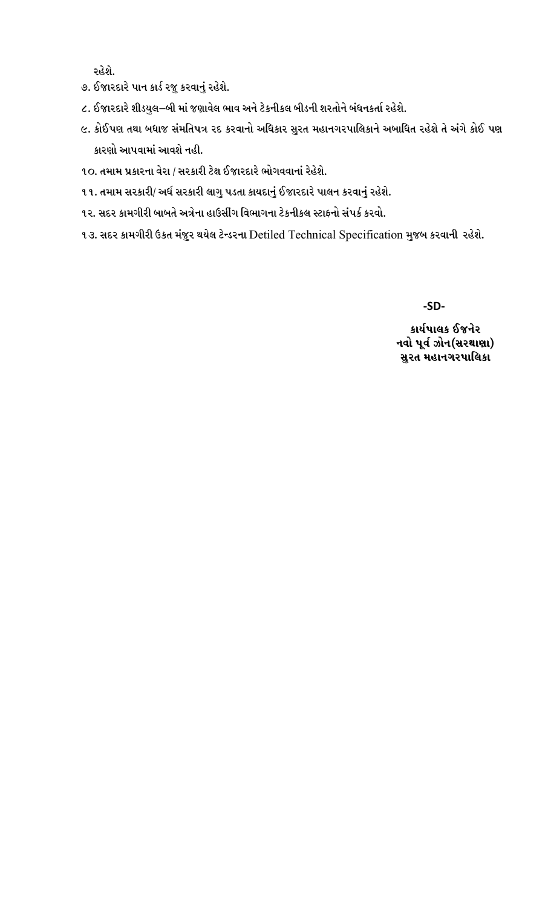રહેશે.

- ૭. ઈજારદારે પાન કાર્ડ રજુ કરવાનું રહેશે.
- ૮. ઈજારદારે શીડયુલ–બી માં જણાવેલ ભાવ અને ટેકનીકલ બીડની શરતોને બંધનકર્તા રહેશે.
- ૯. કોઈપણ તથા બધાજ સંમતિપત્ર ૨દ કરવાનો અધિકાર સુરત મહાનગરપાલિકાને અબાધિત રહેશે તે અંગે કોઈ પણ કારણો આપવામાં આવશે નહી.
- ૧૦. તમામ પ્રકારના વેરા / સરકારી ટેક્ષ ઈજારદારે ભોગવવાનાં રેહેશે.
- ૧૧. તમામ સરકારી/ અર્ધ સરકારી લાગુ પડતા કાયદાનું ઈજારદારે પાલન કરવાનું રહેશે.
- ૧૨. સદર કામગીરી બાબતે અત્રેના હાઉસીંગ વિભાગના ટેકનીકલ સ્ટાફનો સંપર્ક કરવો.
- ૧૩. સદર કામગીરી ઉકત મંજુર થયેલ ટેન્ડરના Detiled Technical Specification મુજબ કરવાની રહેશે.

-SD-

કાર્યપાલક ઈજનેર નવો પૂર્વ ઝોન(સરથાણા) સુરત મહાનગરપાલિકા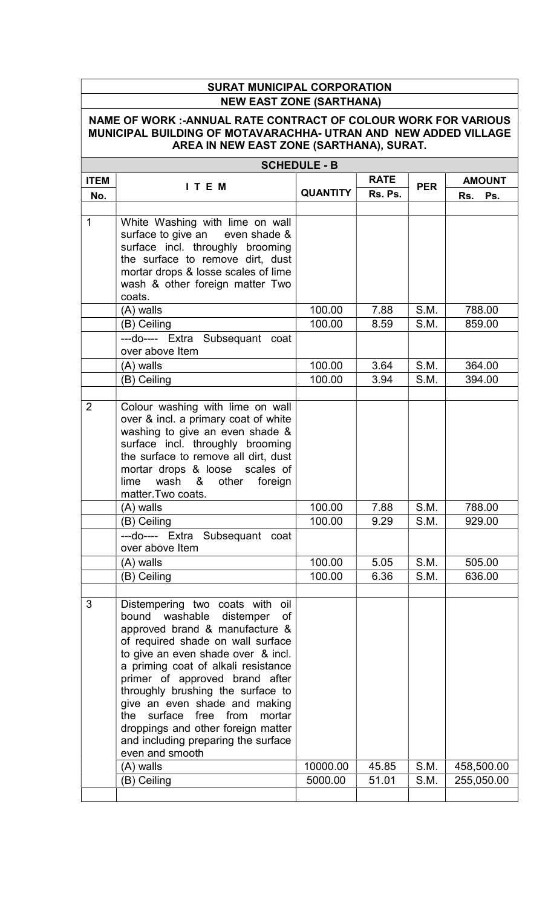## SURAT MUNICIPAL CORPORATION NEW EAST ZONE (SARTHANA)

#### NAME OF WORK :-ANNUAL RATE CONTRACT OF COLOUR WORK FOR VARIOUS MUNICIPAL BUILDING OF MOTAVARACHHA- UTRAN AND NEW ADDED VILLAGE AREA IN NEW EAST ZONE (SARTHANA), SURAT.

| <b>SCHEDULE - B</b> |                                                                                                                                                                                                                                                                                                                                                                                                                                                                                                 |                                      |                              |                              |                                      |
|---------------------|-------------------------------------------------------------------------------------------------------------------------------------------------------------------------------------------------------------------------------------------------------------------------------------------------------------------------------------------------------------------------------------------------------------------------------------------------------------------------------------------------|--------------------------------------|------------------------------|------------------------------|--------------------------------------|
| <b>ITEM</b>         |                                                                                                                                                                                                                                                                                                                                                                                                                                                                                                 |                                      | <b>RATE</b>                  |                              | <b>AMOUNT</b>                        |
| No.                 | ITEM                                                                                                                                                                                                                                                                                                                                                                                                                                                                                            | <b>QUANTITY</b>                      | Rs. Ps.                      | <b>PER</b>                   | Ps.<br>Rs.                           |
|                     |                                                                                                                                                                                                                                                                                                                                                                                                                                                                                                 |                                      |                              |                              |                                      |
| 1                   | White Washing with lime on wall<br>surface to give an even shade &<br>surface incl. throughly brooming<br>the surface to remove dirt, dust<br>mortar drops & losse scales of lime<br>wash & other foreign matter Two<br>coats.                                                                                                                                                                                                                                                                  |                                      |                              |                              |                                      |
|                     | (A) walls                                                                                                                                                                                                                                                                                                                                                                                                                                                                                       | 100.00                               | 7.88                         | S.M.                         | 788.00                               |
|                     | (B) Ceiling                                                                                                                                                                                                                                                                                                                                                                                                                                                                                     | 100.00                               | 8.59                         | S.M.                         | 859.00                               |
|                     | ---do---- Extra Subsequant coat<br>over above Item                                                                                                                                                                                                                                                                                                                                                                                                                                              |                                      |                              |                              |                                      |
|                     | (A) walls                                                                                                                                                                                                                                                                                                                                                                                                                                                                                       | 100.00                               | 3.64                         | S.M.                         | 364.00                               |
|                     | (B) Ceiling                                                                                                                                                                                                                                                                                                                                                                                                                                                                                     | 100.00                               | 3.94                         | S.M.                         | 394.00                               |
| $\overline{2}$      | Colour washing with lime on wall<br>over & incl. a primary coat of white<br>washing to give an even shade &<br>surface incl. throughly brooming<br>the surface to remove all dirt, dust<br>mortar drops & loose scales of<br>wash<br>other<br>lime<br>&<br>foreign<br>matter. Two coats.<br>(A) walls<br>(B) Ceiling<br>---do---- Extra Subsequant coat<br>over above Item<br>(A) walls<br>(B) Ceiling                                                                                          | 100.00<br>100.00<br>100.00<br>100.00 | 7.88<br>9.29<br>5.05<br>6.36 | S.M.<br>S.M.<br>S.M.<br>S.M. | 788.00<br>929.00<br>505.00<br>636.00 |
| 3                   | Distempering two coats with oil<br>bound washable distemper<br>of<br>approved brand & manufacture &<br>of required shade on wall surface<br>to give an even shade over & incl.<br>a priming coat of alkali resistance<br>primer of approved brand after<br>throughly brushing the surface to<br>give an even shade and making<br>surface free from<br>the<br>mortar<br>droppings and other foreign matter<br>and including preparing the surface<br>even and smooth<br>(A) walls<br>(B) Ceiling | 10000.00<br>5000.00                  | 45.85<br>51.01               | S.M.<br>S.M.                 | 458,500.00<br>255,050.00             |
|                     |                                                                                                                                                                                                                                                                                                                                                                                                                                                                                                 |                                      |                              |                              |                                      |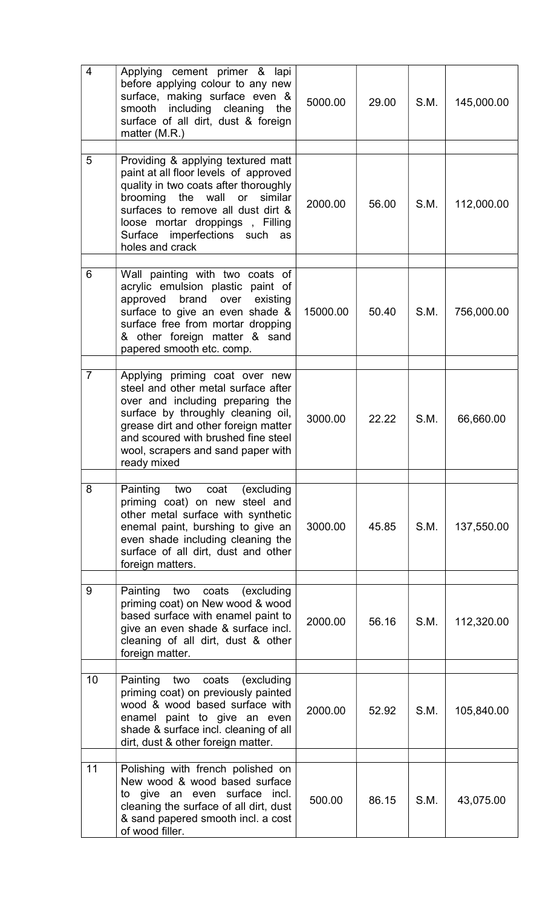| $\overline{4}$ | Applying cement primer & lapi<br>before applying colour to any new<br>surface, making surface even &<br>including cleaning<br>smooth<br>the<br>surface of all dirt, dust & foreign<br>matter (M.R.)                                                                                  | 5000.00  | 29.00 | S.M. | 145,000.00 |
|----------------|--------------------------------------------------------------------------------------------------------------------------------------------------------------------------------------------------------------------------------------------------------------------------------------|----------|-------|------|------------|
| 5              | Providing & applying textured matt<br>paint at all floor levels of approved<br>quality in two coats after thoroughly<br>brooming the wall or similar<br>surfaces to remove all dust dirt &<br>loose mortar droppings, Filling<br>Surface imperfections such<br>as<br>holes and crack | 2000.00  | 56.00 | S.M. | 112,000.00 |
| 6              | Wall painting with two coats of<br>acrylic emulsion plastic paint of<br>approved<br>brand over existing<br>surface to give an even shade &<br>surface free from mortar dropping<br>& other foreign matter & sand<br>papered smooth etc. comp.                                        | 15000.00 | 50.40 | S.M. | 756,000.00 |
| $\overline{7}$ | Applying priming coat over new<br>steel and other metal surface after<br>over and including preparing the<br>surface by throughly cleaning oil,<br>grease dirt and other foreign matter<br>and scoured with brushed fine steel<br>wool, scrapers and sand paper with<br>ready mixed  | 3000.00  | 22.22 | S.M. | 66,660.00  |
| 8              | Painting<br>two<br>coat<br>(excluding<br>priming coat) on new steel and<br>other metal surface with synthetic<br>enemal paint, burshing to give an<br>even shade including cleaning the<br>surface of all dirt, dust and other<br>foreign matters.                                   | 3000.00  | 45.85 | S.M. | 137,550.00 |
| 9              | Painting<br>two<br>coats<br>(excluding<br>priming coat) on New wood & wood<br>based surface with enamel paint to<br>give an even shade & surface incl.<br>cleaning of all dirt, dust & other<br>foreign matter.                                                                      | 2000.00  | 56.16 | S.M. | 112,320.00 |
| 10             | Painting<br>coats<br>(excluding<br>two<br>priming coat) on previously painted<br>wood & wood based surface with<br>enamel paint to give an even<br>shade & surface incl. cleaning of all<br>dirt, dust & other foreign matter.                                                       | 2000.00  | 52.92 | S.M. | 105,840.00 |
| 11             | Polishing with french polished on<br>New wood & wood based surface<br>to give an even surface<br>incl.<br>cleaning the surface of all dirt, dust<br>& sand papered smooth incl. a cost<br>of wood filler.                                                                            | 500.00   | 86.15 | S.M. | 43,075.00  |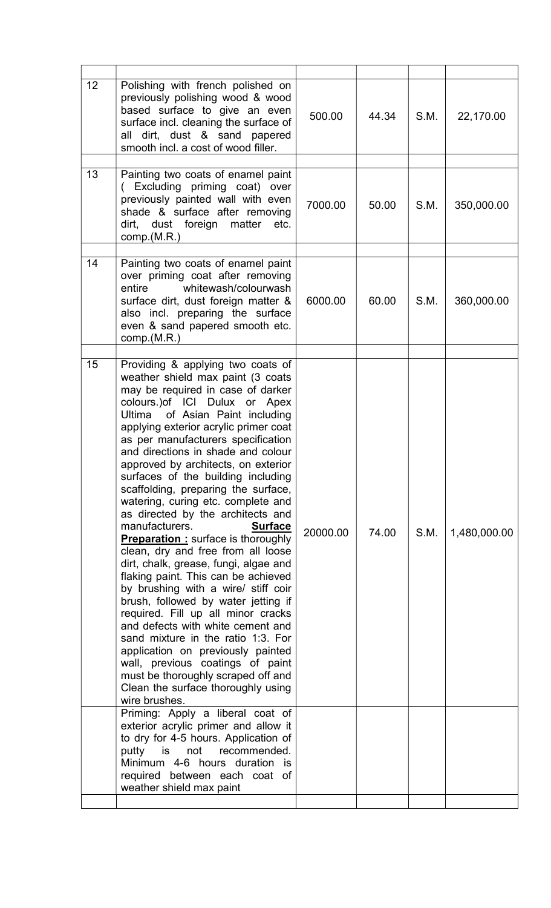| 12 | Polishing with french polished on<br>previously polishing wood & wood<br>based surface to give an even<br>surface incl. cleaning the surface of<br>all dirt, dust & sand papered<br>smooth incl. a cost of wood filler.                                                                                                                                                                                                                                                                                                                                                                                                                                                                                                                                                                                                                                                                                                                                                                                                                                                                                                                                                                                                                                                                                                                            | 500.00   | 44.34 | S.M. | 22,170.00    |
|----|----------------------------------------------------------------------------------------------------------------------------------------------------------------------------------------------------------------------------------------------------------------------------------------------------------------------------------------------------------------------------------------------------------------------------------------------------------------------------------------------------------------------------------------------------------------------------------------------------------------------------------------------------------------------------------------------------------------------------------------------------------------------------------------------------------------------------------------------------------------------------------------------------------------------------------------------------------------------------------------------------------------------------------------------------------------------------------------------------------------------------------------------------------------------------------------------------------------------------------------------------------------------------------------------------------------------------------------------------|----------|-------|------|--------------|
| 13 | Painting two coats of enamel paint<br>(Excluding priming coat) over<br>previously painted wall with even<br>shade & surface after removing<br>dirt, dust foreign matter<br>etc.<br>comp.(M.R.)                                                                                                                                                                                                                                                                                                                                                                                                                                                                                                                                                                                                                                                                                                                                                                                                                                                                                                                                                                                                                                                                                                                                                     | 7000.00  | 50.00 | S.M. | 350,000.00   |
| 14 | Painting two coats of enamel paint<br>over priming coat after removing<br>whitewash/colourwash<br>entire<br>surface dirt, dust foreign matter &<br>also incl. preparing the surface<br>even & sand papered smooth etc.<br>comp.(M.R.)                                                                                                                                                                                                                                                                                                                                                                                                                                                                                                                                                                                                                                                                                                                                                                                                                                                                                                                                                                                                                                                                                                              | 6000.00  | 60.00 | S.M. | 360,000.00   |
| 15 | Providing & applying two coats of<br>weather shield max paint (3 coats<br>may be required in case of darker<br>colours.) of ICI Dulux or Apex<br>Ultima of Asian Paint including<br>applying exterior acrylic primer coat<br>as per manufacturers specification<br>and directions in shade and colour<br>approved by architects, on exterior<br>surfaces of the building including<br>scaffolding, preparing the surface,<br>watering, curing etc. complete and<br>as directed by the architects and<br>manufacturers.<br><b>Surface</b><br><b>Preparation:</b> surface is thoroughly<br>clean, dry and free from all loose<br>dirt, chalk, grease, fungi, algae and<br>flaking paint. This can be achieved<br>by brushing with a wire/ stiff coir<br>brush, followed by water jetting if<br>required. Fill up all minor cracks<br>and defects with white cement and<br>sand mixture in the ratio 1:3. For<br>application on previously painted<br>wall, previous coatings of paint<br>must be thoroughly scraped off and<br>Clean the surface thoroughly using<br>wire brushes.<br>Priming: Apply a liberal coat of<br>exterior acrylic primer and allow it<br>to dry for 4-5 hours. Application of<br>not<br>recommended.<br>putty<br>is<br>Minimum 4-6 hours duration<br><b>is</b><br>required between each coat of<br>weather shield max paint | 20000.00 | 74.00 | S.M. | 1,480,000.00 |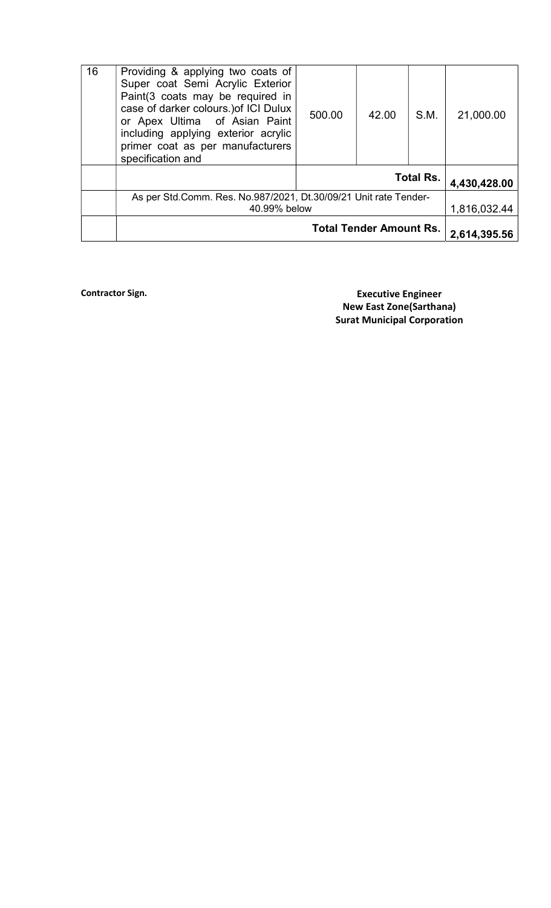| 16 | Providing & applying two coats of<br>Super coat Semi Acrylic Exterior<br>Paint(3 coats may be required in<br>case of darker colours.) of ICI Dulux<br>or Apex Ultima of Asian Paint<br>including applying exterior acrylic<br>primer coat as per manufacturers<br>specification and | 500.00 | 42.00 | S.M.             | 21,000.00    |
|----|-------------------------------------------------------------------------------------------------------------------------------------------------------------------------------------------------------------------------------------------------------------------------------------|--------|-------|------------------|--------------|
|    |                                                                                                                                                                                                                                                                                     |        |       | <b>Total Rs.</b> | 4,430,428.00 |
|    | As per Std.Comm. Res. No.987/2021, Dt.30/09/21 Unit rate Tender-<br>40.99% below                                                                                                                                                                                                    |        |       | 1,816,032.44     |              |
|    | <b>Total Tender Amount Rs.</b>                                                                                                                                                                                                                                                      |        |       |                  | 2,614,395.56 |

**Contractor Sign. Contractor Sign. Executive Engineer** New East Zone(Sarthana) Surat Municipal Corporation